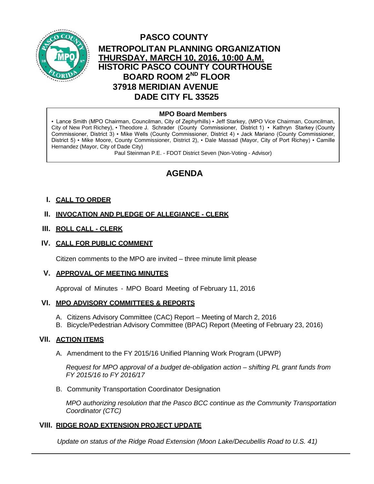

# **PASCO COUNTY METROPOLITAN PLANNING ORGANIZATION THURSDAY, MARCH 10, 2016, 10:00 A.M. HISTORIC PASCO COUNTY COURTHOUSE BOARD ROOM 2ND FLOOR 37918 MERIDIAN AVENUE DADE CITY FL 33525**

## **MPO Board Members**

▪ Lance Smith (MPO Chairman, Councilman, City of Zephyrhills) ▪ Jeff Starkey, (MPO Vice Chairman, Councilman, City of New Port Richey), ▪ Theodore J. Schrader (County Commissioner, District 1) ▪ Kathryn Starkey (County Commissioner, District 3) ▪ Mike Wells (County Commissioner, District 4) ▪ Jack Mariano (County Commissioner, District 5) ▪ Mike Moore, County Commissioner, District 2), ▪ Dale Massad (Mayor, City of Port Richey) ▪ Camille Hernandez (Mayor, City of Dade City)

Paul Steinman P.E. - FDOT District Seven (Non-Voting - Advisor)

# **AGENDA**

### **I. CALL TO ORDER**

# **II. INVOCATION AND PLEDGE OF ALLEGIANCE - CLERK**

#### **III. ROLL CALL - CLERK**

#### **IV. CALL FOR PUBLIC COMMENT**

Citizen comments to the MPO are invited – three minute limit please

#### **V. APPROVAL OF MEETING MINUTES**

Approval of Minutes - MPO Board Meeting of February 11, 2016

#### **VI. MPO ADVISORY COMMITTEES & REPORTS**

- A. Citizens Advisory Committee (CAC) Report Meeting of March 2, 2016
- B. Bicycle/Pedestrian Advisory Committee (BPAC) Report (Meeting of February 23, 2016)

#### **VII. ACTION ITEMS**

A. Amendment to the FY 2015/16 Unified Planning Work Program (UPWP)

*Request for MPO approval of a budget de-obligation action – shifting PL grant funds from FY 2015/16 to FY 2016/17*

B. Community Transportation Coordinator Designation

*MPO authorizing resolution that the Pasco BCC continue as the Community Transportation Coordinator (CTC)*

#### **VIII. RIDGE ROAD EXTENSION PROJECT UPDATE**

*Update on status of the Ridge Road Extension (Moon Lake/Decubellis Road to U.S. 41)*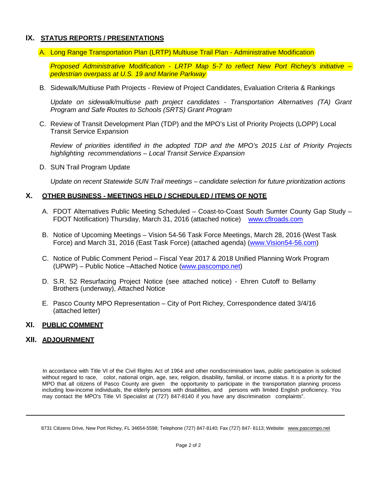# **IX. STATUS REPORTS / PRESENTATIONS**

A. Long Range Transportation Plan (LRTP) Multiuse Trail Plan - Administrative Modification

*Proposed Administrative Modification - LRTP Map 5-7 to reflect New Port Richey's initiative – pedestrian overpass at U.S. 19 and Marine Parkway*

B. Sidewalk/Multiuse Path Projects - Review of Project Candidates, Evaluation Criteria & Rankings

*Update on sidewalk/multiuse path project candidates - Transportation Alternatives (TA) Grant Program and Safe Routes to Schools (SRTS) Grant Program* 

C. Review of Transit Development Plan (TDP) and the MPO's List of Priority Projects (LOPP) Local Transit Service Expansion

*Review of priorities identified in the adopted TDP and the MPO's 2015 List of Priority Projects highlighting recommendations – Local Transit Service Expansion* 

D. SUN Trail Program Update

*Update on recent Statewide SUN Trail meetings – candidate selection for future prioritization actions* 

#### **X. OTHER BUSINESS - MEETINGS HELD / SCHEDULED / ITEMS OF NOTE**

- A. FDOT Alternatives Public Meeting Scheduled Coast-to-Coast South Sumter County Gap Study FDOT Notification) Thursday, March 31, 2016 (attached notice) [www.cflroads.com](http://www.cflroads.com/)
- B. Notice of Upcoming Meetings Vision 54-56 Task Force Meetings, March 28, 2016 (West Task Force) and March 31, 2016 (East Task Force) (attached agenda) [\(www.Vision54-56.com\)](http://www.vision54-56.com/)
- C. Notice of Public Comment Period Fiscal Year 2017 & 2018 Unified Planning Work Program (UPWP) – Public Notice –Attached Notice [\(www.pascompo.net\)](http://www.pascompo.net/)
- D. S.R. 52 Resurfacing Project Notice (see attached notice) Ehren Cutoff to Bellamy Brothers (underway), Attached Notice
- E. Pasco County MPO Representation City of Port Richey, Correspondence dated 3/4/16 (attached letter)

#### **XI. PUBLIC COMMENT**

#### **XII. ADJOURNMENT**

In accordance with Title VI of the Civil Rights Act of 1964 and other nondiscrimination laws, public participation is solicited without regard to race, color, national origin, age, sex, religion, disability, familial, or income status. It is a priority for the MPO that all citizens of Pasco County are given the opportunity to participate in the transportation planning process including low-income individuals, the elderly persons with disabilities, and persons with limited English proficiency. You may contact the MPO's Title VI Specialist at (727) 847-8140 if you have any discrimination complaints".

<sup>8731</sup> Citizens Drive, New Port Richey, FL 34654-5598; Telephone (727) 847-8140; Fax (727) 847- 8113; Website: [www.pascompo.net](http://www.pascompo.net/)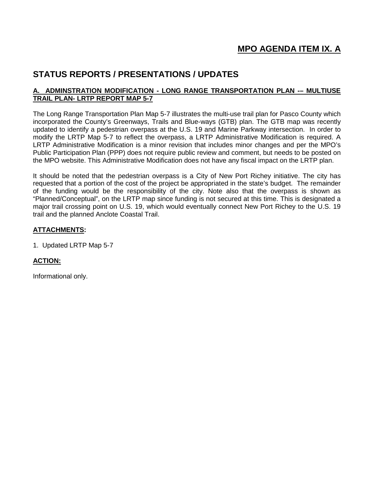# **STATUS REPORTS / PRESENTATIONS / UPDATES**

### **A. ADMINSTRATION MODIFICATION - LONG RANGE TRANSPORTATION PLAN -– MULTIUSE TRAIL PLAN- LRTP REPORT MAP 5-7**

The Long Range Transportation Plan Map 5-7 illustrates the multi-use trail plan for Pasco County which incorporated the County's Greenways, Trails and Blue-ways (GTB) plan. The GTB map was recently updated to identify a pedestrian overpass at the U.S. 19 and Marine Parkway intersection. In order to modify the LRTP Map 5-7 to reflect the overpass, a LRTP Administrative Modification is required. A LRTP Administrative Modification is a minor revision that includes minor changes and per the MPO's Public Participation Plan (PPP) does not require public review and comment, but needs to be posted on the MPO website. This Administrative Modification does not have any fiscal impact on the LRTP plan.

It should be noted that the pedestrian overpass is a City of New Port Richey initiative. The city has requested that a portion of the cost of the project be appropriated in the state's budget. The remainder of the funding would be the responsibility of the city. Note also that the overpass is shown as "Planned/Conceptual", on the LRTP map since funding is not secured at this time. This is designated a major trail crossing point on U.S. 19, which would eventually connect New Port Richey to the U.S. 19 trail and the planned Anclote Coastal Trail.

### **ATTACHMENTS:**

1. Updated LRTP Map 5-7

# **ACTION:**

Informational only.